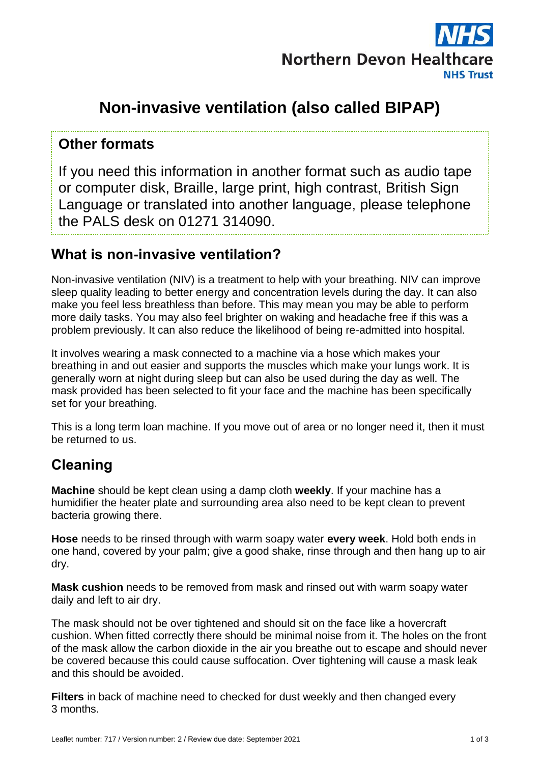

# **Non-invasive ventilation (also called BIPAP)**

#### **Other formats**

If you need this information in another format such as audio tape or computer disk, Braille, large print, high contrast, British Sign Language or translated into another language, please telephone the PALS desk on 01271 314090.

## **What is non-invasive ventilation?**

Non-invasive ventilation (NIV) is a treatment to help with your breathing. NIV can improve sleep quality leading to better energy and concentration levels during the day. It can also make you feel less breathless than before. This may mean you may be able to perform more daily tasks. You may also feel brighter on waking and headache free if this was a problem previously. It can also reduce the likelihood of being re-admitted into hospital.

It involves wearing a mask connected to a machine via a hose which makes your breathing in and out easier and supports the muscles which make your lungs work. It is generally worn at night during sleep but can also be used during the day as well. The mask provided has been selected to fit your face and the machine has been specifically set for your breathing.

This is a long term loan machine. If you move out of area or no longer need it, then it must be returned to us.

# **Cleaning**

**Machine** should be kept clean using a damp cloth **weekly**. If your machine has a humidifier the heater plate and surrounding area also need to be kept clean to prevent bacteria growing there.

**Hose** needs to be rinsed through with warm soapy water **every week**. Hold both ends in one hand, covered by your palm; give a good shake, rinse through and then hang up to air dry.

**Mask cushion** needs to be removed from mask and rinsed out with warm soapy water daily and left to air dry.

The mask should not be over tightened and should sit on the face like a hovercraft cushion. When fitted correctly there should be minimal noise from it. The holes on the front of the mask allow the carbon dioxide in the air you breathe out to escape and should never be covered because this could cause suffocation. Over tightening will cause a mask leak and this should be avoided.

**Filters** in back of machine need to checked for dust weekly and then changed every 3 months.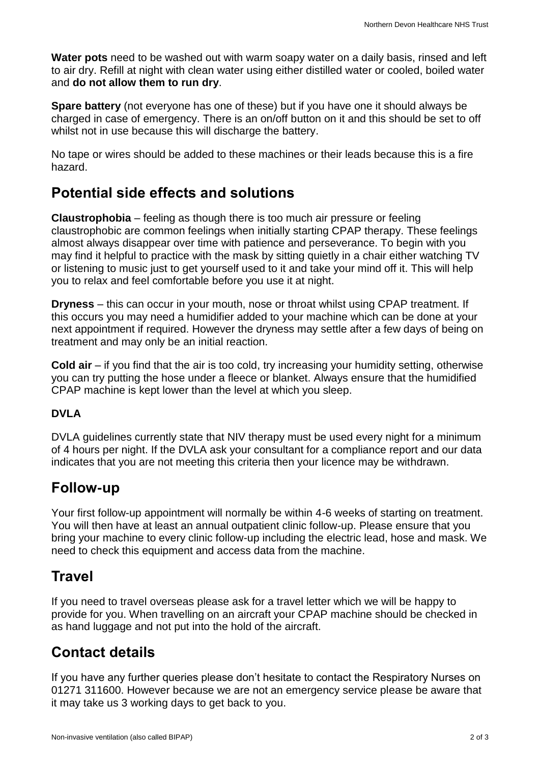**Water pots** need to be washed out with warm soapy water on a daily basis, rinsed and left to air dry. Refill at night with clean water using either distilled water or cooled, boiled water and **do not allow them to run dry**.

**Spare battery** (not everyone has one of these) but if you have one it should always be charged in case of emergency. There is an on/off button on it and this should be set to off whilst not in use because this will discharge the battery.

No tape or wires should be added to these machines or their leads because this is a fire hazard.

### **Potential side effects and solutions**

**Claustrophobia** – feeling as though there is too much air pressure or feeling claustrophobic are common feelings when initially starting CPAP therapy. These feelings almost always disappear over time with patience and perseverance. To begin with you may find it helpful to practice with the mask by sitting quietly in a chair either watching TV or listening to music just to get yourself used to it and take your mind off it. This will help you to relax and feel comfortable before you use it at night.

**Dryness** – this can occur in your mouth, nose or throat whilst using CPAP treatment. If this occurs you may need a humidifier added to your machine which can be done at your next appointment if required. However the dryness may settle after a few days of being on treatment and may only be an initial reaction.

**Cold air** – if you find that the air is too cold, try increasing your humidity setting, otherwise you can try putting the hose under a fleece or blanket. Always ensure that the humidified CPAP machine is kept lower than the level at which you sleep.

#### **DVLA**

DVLA guidelines currently state that NIV therapy must be used every night for a minimum of 4 hours per night. If the DVLA ask your consultant for a compliance report and our data indicates that you are not meeting this criteria then your licence may be withdrawn.

### **Follow-up**

Your first follow-up appointment will normally be within 4-6 weeks of starting on treatment. You will then have at least an annual outpatient clinic follow-up. Please ensure that you bring your machine to every clinic follow-up including the electric lead, hose and mask. We need to check this equipment and access data from the machine.

# **Travel**

If you need to travel overseas please ask for a travel letter which we will be happy to provide for you. When travelling on an aircraft your CPAP machine should be checked in as hand luggage and not put into the hold of the aircraft.

# **Contact details**

If you have any further queries please don't hesitate to contact the Respiratory Nurses on 01271 311600. However because we are not an emergency service please be aware that it may take us 3 working days to get back to you.